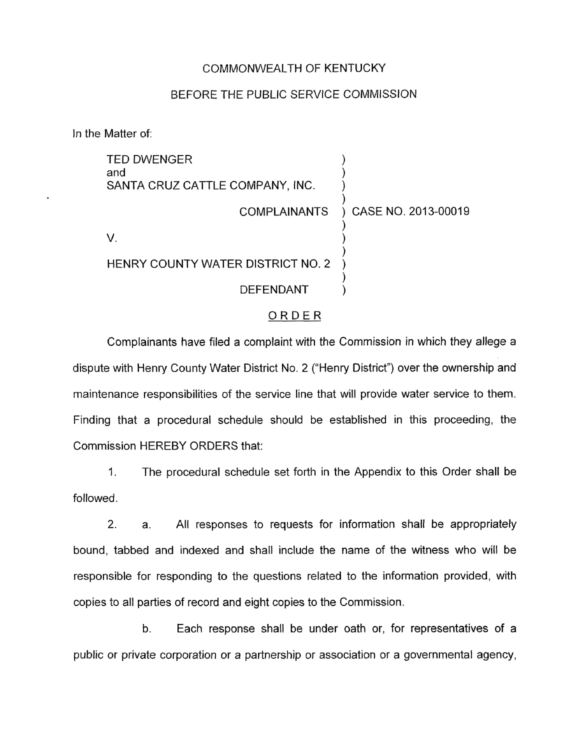### COMMONWEALTH OF KENTUCKY

### BEFORE THE PUBLIC SERVICE COMMISSION

In the Matter of:

| <b>TED DWENGER</b><br>and<br>SANTA CRUZ CATTLE COMPANY, INC. |                     |
|--------------------------------------------------------------|---------------------|
| <b>COMPLAINANTS</b>                                          | CASE NO. 2013-00019 |
|                                                              |                     |
| HENRY COUNTY WATER DISTRICT NO. 2                            |                     |
| <b>DEFENDANT</b>                                             |                     |

#### ORDER

Complainants have filed a complaint with the Commission in which they allege a dispute with Henry County Water District No. 2 ("Henry District") over the ownership and maintenance responsibilities of the service line that will provide water service to them. Finding that a procedural schedule should be established in this proceeding, the Commission HEREBY ORDERS that:

1. The procedural schedule set forth in the Appendix to this Order shall be followed.

2. a. All responses to requests for information shall be appropriately bound, tabbed and indexed and shall include the name of the witness who will be responsible for responding to the questions related to the information provided, with copies to all parties of record and eight copies to the Commission

b. Each response shall be under oath or, for representatives of a public or private corporation or *a* partnership or association or a governmental agency,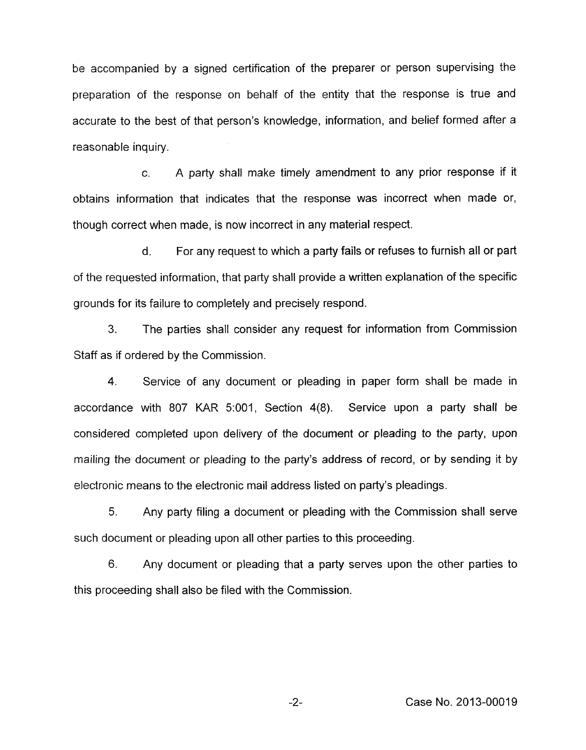be accompanied by a signed certification of the preparer or person supervising the preparation of the response on behalf of the entity that the response is true and accurate to the best of that person's knowledge, information, and belief formed after a reasonable inquiry.

*c.* A party shall make timely amendment to any prior response if it obtains information that indicates that the response was incorrect when made or, though correct when made, is now incorrect in any material respect.

d. For any request to which a party fails or refuses to furnish all or part of the requested information, that party shall provide a written explanation of the specific grounds for its failure to completely and precisely respond.

**3.** The parties shall consider any request for information from Commission Staff as if ordered by the Commission.

4. Service of any document or pleading in paper form shall be made in accordance with 807 KAR 5:001, Section 4(8). Service upon a party shall be considered completed upon delivery of the document or pleading to the party, upon mailing the document or pleading to the party's address of record, or by sending it by electronic means to the electronic mail address listed on party's pleadings.

5. Any party filing a document or pleading with the Commission shall serve such document or pleading upon all other parties to this proceeding.

6. Any document or pleading that a party serves upon the other parties to this proceeding shall also be filed with the Commission.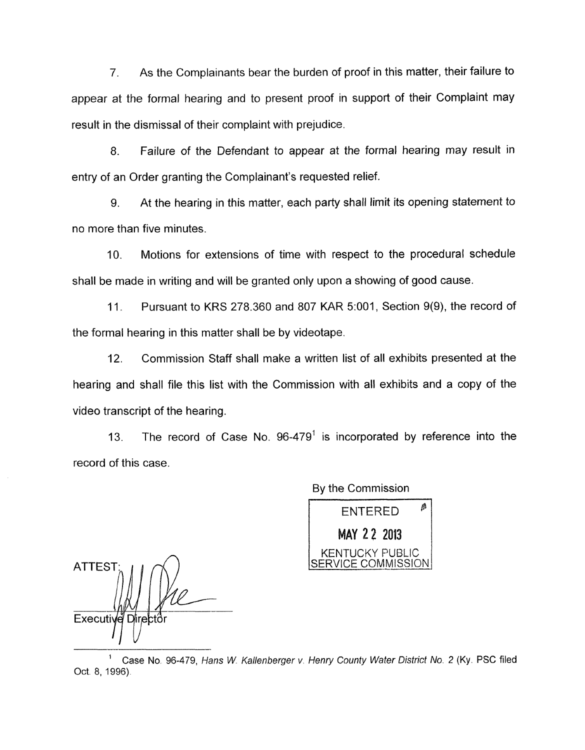*7.* As the Complainants bear the burden of proof in this matter, their failure to appear at the formal hearing and to present proof in support of their Complaint may result in the dismissal of their complaint with prejudice.

8. Failure of the Defendant to appear at the formal hearing may result in entry of an Order granting the Complainant's requested relief.

9. At the hearing in this matter, each party shall limit its opening statement to no more than five minutes.

IO. Motions for extensions of time with respect to the procedural schedule shall be made in writing and will be granted only upon a showing of good cause.

11 **I** Pursuant to KRS 278.360 and 807 KAR 5:OOl , Section 9(9), the record of the formal hearing in this matter shall be by videotape.

12. Commission Staff shall make a written list of all exhibits presented at the hearing and shall file this list with the Commission with all exhibits and a copy of the video transcript of the hearing.

13. The record of Case No.  $96-479<sup>1</sup>$  is incorporated by reference into the record of this case.

**ATTEST** Executive Directo

By the Commission

ENTERED *<sup>P</sup>* **AY** 2 **2 2813 KENTUCKY PUBLIC** VICE COMMISSION

Case **No** 96-479, *Hans W. Kallenberger v. Henry* Comfy *Wafer Distrjcf No. 2* **(Ky.** PSC filed **<sup>1</sup>** Oct. 8, 1996).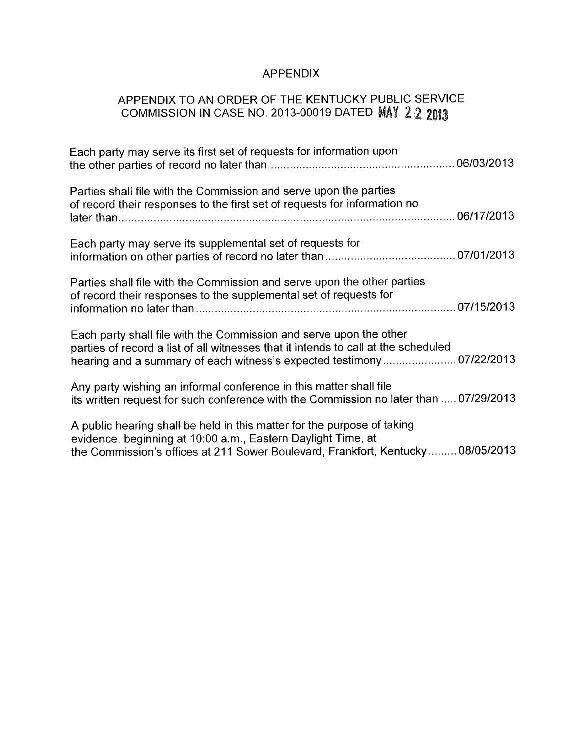# APPENDIX

## APPENDIX TO AN ORDER OF THE KENTUCKY PUBLIC SERVICE COMMISSION IN CASE NO. 2013-00019 DATED

| Each party may serve its first set of requests for information upon                                                                                                                                                               |  |
|-----------------------------------------------------------------------------------------------------------------------------------------------------------------------------------------------------------------------------------|--|
| Parties shall file with the Commission and serve upon the parties<br>of record their responses to the first set of requests for information no                                                                                    |  |
| Each party may serve its supplemental set of requests for                                                                                                                                                                         |  |
| Parties shall file with the Commission and serve upon the other parties<br>of record their responses to the supplemental set of requests for                                                                                      |  |
| Each party shall file with the Commission and serve upon the other<br>parties of record a list of all witnesses that it intends to call at the scheduled<br>hearing and a summary of each witness's expected testimony 07/22/2013 |  |
| Any party wishing an informal conference in this matter shall file<br>its written request for such conference with the Commission no later than  07/29/2013                                                                       |  |
| A public hearing shall be held in this matter for the purpose of taking<br>evidence, beginning at 10:00 a.m., Eastern Daylight Time, at<br>the Commission's offices at 211 Sower Boulevard, Frankfort, Kentucky 08/05/2013        |  |